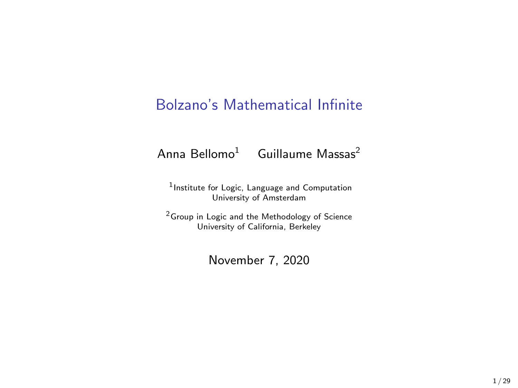### Bolzano's Mathematical Infinite

#### Anna Bellomo<sup>1</sup> Guillaume Massas<sup>2</sup>

1 Institute for Logic, Language and Computation University of Amsterdam

<sup>2</sup>Group in Logic and the Methodology of Science University of California, Berkeley

November 7, 2020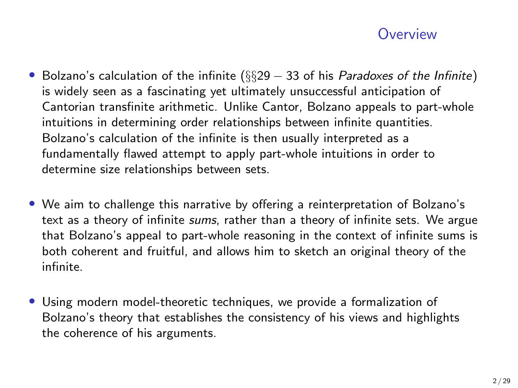### **Overview**

- Bolzano's calculation of the infinite ( $\S$  $29 33$  of his *Paradoxes of the Infinite*) is widely seen as a fascinating yet ultimately unsuccessful anticipation of Cantorian transfinite arithmetic. Unlike Cantor, Bolzano appeals to part-whole intuitions in determining order relationships between infinite quantities. Bolzano's calculation of the infinite is then usually interpreted as a fundamentally flawed attempt to apply part-whole intuitions in order to determine size relationships between sets.
- We aim to challenge this narrative by offering a reinterpretation of Bolzano's text as a theory of infinite sums, rather than a theory of infinite sets. We argue that Bolzano's appeal to part-whole reasoning in the context of infinite sums is both coherent and fruitful, and allows him to sketch an original theory of the infinite.
- Using modern model-theoretic techniques, we provide a formalization of Bolzano's theory that establishes the consistency of his views and highlights the coherence of his arguments.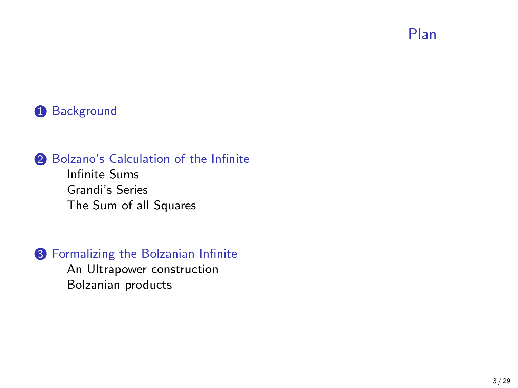Plan

#### <span id="page-2-0"></span>**1** [Background](#page-2-0)

#### 2 [Bolzano's Calculation of the Infinite](#page-6-0)

[Infinite Sums](#page-8-0) [Grandi's Series](#page-10-0) [The Sum of all Squares](#page-12-0)

#### <sup>3</sup> [Formalizing the Bolzanian Infinite](#page-19-0)

[An Ultrapower construction](#page-20-0) [Bolzanian products](#page-23-0)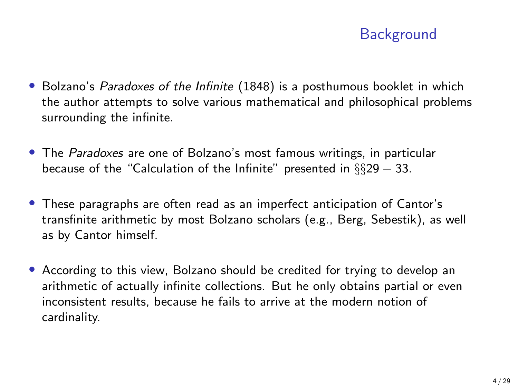# **Background**

- Bolzano's *Paradoxes of the Infinite* (1848) is a posthumous booklet in which the author attempts to solve various mathematical and philosophical problems surrounding the infinite.
- The Paradoxes are one of Bolzano's most famous writings, in particular because of the "Calculation of the Infinite" presented in  $\S$  $\S$ 29 – 33.
- These paragraphs are often read as an imperfect anticipation of Cantor's transfinite arithmetic by most Bolzano scholars (e.g., Berg, Sebestik), as well as by Cantor himself.
- According to this view, Bolzano should be credited for trying to develop an arithmetic of actually infinite collections. But he only obtains partial or even inconsistent results, because he fails to arrive at the modern notion of cardinality.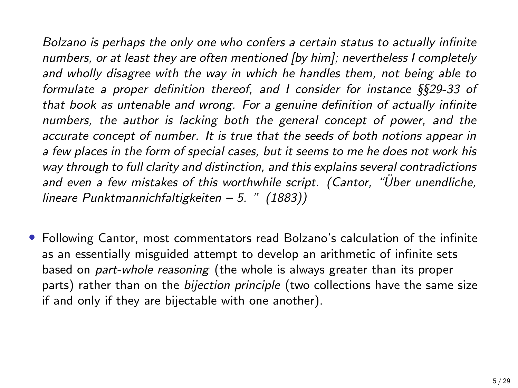Bolzano is perhaps the only one who confers a certain status to actually infinite numbers, or at least they are often mentioned [by him]; nevertheless I completely and wholly disagree with the way in which he handles them, not being able to formulate a proper definition thereof, and I consider for instance §§29-33 of that book as untenable and wrong. For a genuine definition of actually infinite numbers, the author is lacking both the general concept of power, and the accurate concept of number. It is true that the seeds of both notions appear in a few places in the form of special cases, but it seems to me he does not work his way through to full clarity and distinction, and this explains several contradictions and even a few mistakes of this worthwhile script. (Cantor, "Über unendliche, lineare Punktmannichfaltigkeiten – 5. " (1883))

• Following Cantor, most commentators read Bolzano's calculation of the infinite as an essentially misguided attempt to develop an arithmetic of infinite sets based on part-whole reasoning (the whole is always greater than its proper parts) rather than on the *bijection principle* (two collections have the same size if and only if they are bijectable with one another).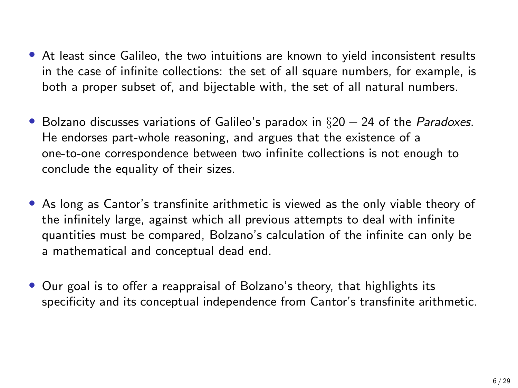- At least since Galileo, the two intuitions are known to yield inconsistent results in the case of infinite collections: the set of all square numbers, for example, is both a proper subset of, and bijectable with, the set of all natural numbers.
- Bolzano discusses variations of Galileo's paradox in  $\S 20 24$  of the *Paradoxes*. He endorses part-whole reasoning, and argues that the existence of a one-to-one correspondence between two infinite collections is not enough to conclude the equality of their sizes.
- As long as Cantor's transfinite arithmetic is viewed as the only viable theory of the infinitely large, against which all previous attempts to deal with infinite quantities must be compared, Bolzano's calculation of the infinite can only be a mathematical and conceptual dead end.
- Our goal is to offer a reappraisal of Bolzano's theory, that highlights its specificity and its conceptual independence from Cantor's transfinite arithmetic.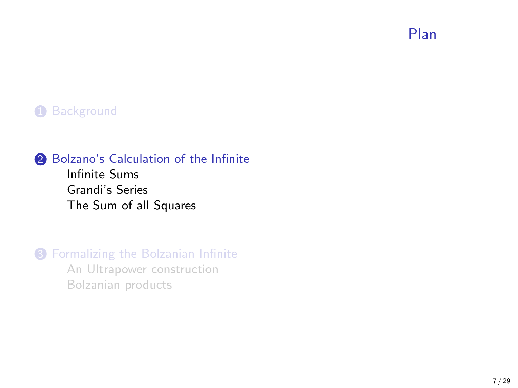Plan

#### <span id="page-6-0"></span>**1** [Background](#page-2-0)

#### 2 [Bolzano's Calculation of the Infinite](#page-6-0)

[Infinite Sums](#page-8-0) [Grandi's Series](#page-10-0) [The Sum of all Squares](#page-12-0)

# **3** [Formalizing the Bolzanian Infinite](#page-19-0)

[An Ultrapower construction](#page-20-0) [Bolzanian products](#page-23-0)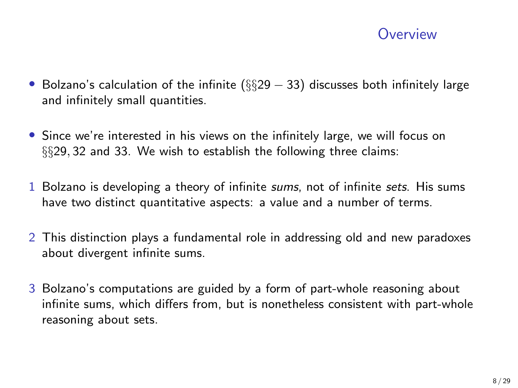### **Overview**

- Bolzano's calculation of the infinite  $(\S$ §29 33) discusses both infinitely large and infinitely small quantities.
- Since we're interested in his views on the infinitely large, we will focus on §§29, 32 and 33. We wish to establish the following three claims:
- 1 Bolzano is developing a theory of infinite sums, not of infinite sets. His sums have two distinct quantitative aspects: a value and a number of terms.
- 2 This distinction plays a fundamental role in addressing old and new paradoxes about divergent infinite sums.
- 3 Bolzano's computations are guided by a form of part-whole reasoning about infinite sums, which differs from, but is nonetheless consistent with part-whole reasoning about sets.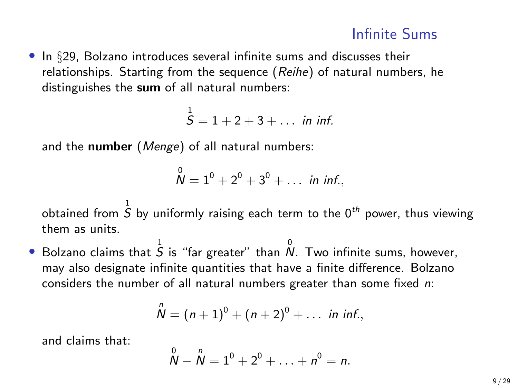<span id="page-8-0"></span>• In §29, Bolzano introduces several infinite sums and discusses their relationships. Starting from the sequence (Reihe) of natural numbers, he distinguishes the sum of all natural numbers:

 $S = 1 + 2 + 3 + \dots$  in inf.

and the number (Menge) of all natural numbers:

$$
\stackrel{0}{N} = 1^0 + 2^0 + 3^0 + \ldots \text{ in inf.},
$$

obtained from  $\stackrel{1}{S}$  by uniformly raising each term to the  $0^{th}$  power, thus viewing them as units.

 $\bullet$  Bolzano claims that  $\overline{S}$  is "far greater" than  $\stackrel{0}{N}$ . Two infinite sums, however, may also designate infinite quantities that have a finite difference. Bolzano considers the number of all natural numbers greater than some fixed n:

$$
\stackrel{n}{N}=(n+1)^0+(n+2)^0+\ldots \ \ \text{in inf.},
$$

and claims that:

$$
\overset{0}{N} - \overset{n}{N} = 1^0 + 2^0 + \ldots + n^0 = n.
$$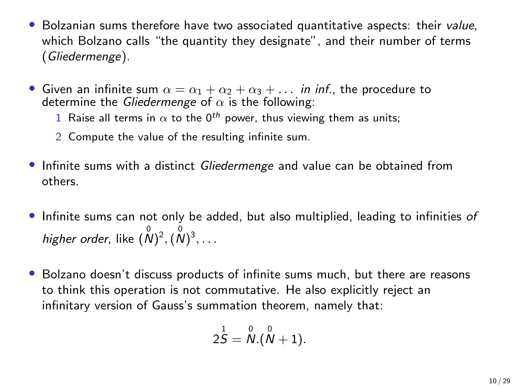- Bolzanian sums therefore have two associated quantitative aspects: their value, which Bolzano calls "the quantity they designate", and their number of terms (Gliedermenge).
- Given an infinite sum  $\alpha = \alpha_1 + \alpha_2 + \alpha_3 + \dots$  in inf., the procedure to determine the Gliedermenge of  $\alpha$  is the following:
	- 1 Raise all terms in  $\alpha$  to the 0<sup>th</sup> power, thus viewing them as units;
	- 2 Compute the value of the resulting infinite sum.
- Infinite sums with a distinct *Gliedermenge* and value can be obtained from others.
- Infinite sums can not only be added, but also multiplied, leading to infinities of higher order, like  $(\stackrel{0}{N})^2,(\stackrel{0}{N})^3,\ldots$
- Bolzano doesn't discuss products of infinite sums much, but there are reasons to think this operation is not commutative. He also explicitly reject an infinitary version of Gauss's summation theorem, namely that:

$$
2\overset{1}{S}=\overset{0}{N}.(\overset{0}{N}+1).
$$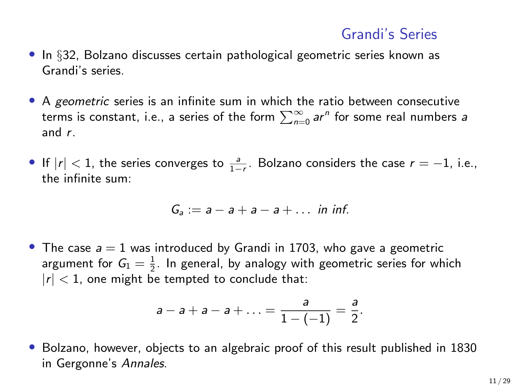## Grandi's Series

- <span id="page-10-0"></span>• In §32, Bolzano discusses certain pathological geometric series known as Grandi's series.
- A geometric series is an infinite sum in which the ratio between consecutive terms is constant, i.e., a series of the form  $\sum_{n=0}^{\infty}$  ar $^n$  for some real numbers a and r.
- If  $|r| < 1$ , the series converges to  $\frac{a}{1-r}$ . Bolzano considers the case  $r = -1$ , i.e., the infinite sum:

$$
G_a := a - a + a - a + \dots
$$
 in inf.

• The case  $a = 1$  was introduced by Grandi in 1703, who gave a geometric argument for  $G_1 = \frac{1}{2}$ . In general, by analogy with geometric series for which  $|r| < 1$ , one might be tempted to conclude that:

$$
a-a+a-a+\ldots = \frac{a}{1-(-1)} = \frac{a}{2}.
$$

• Bolzano, however, objects to an algebraic proof of this result published in 1830 in Gergonne's Annales.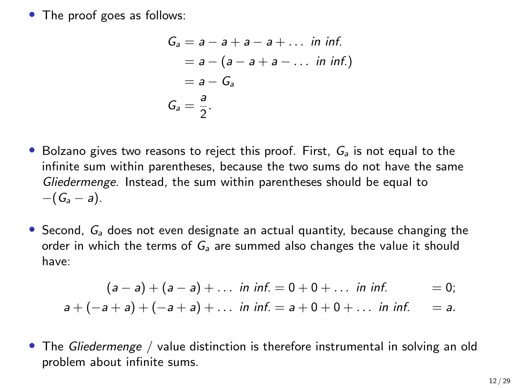• The proof goes as follows:

$$
G_a = a - a + a - a + \dots \text{ in inf.}
$$
  
=  $a - (a - a + a - \dots \text{ in inf.})$   
=  $a - G_a$   

$$
G_a = \frac{a}{2}.
$$

- Bolzano gives two reasons to reject this proof. First,  $G_a$  is not equal to the infinite sum within parentheses, because the two sums do not have the same Gliedermenge. Instead, the sum within parentheses should be equal to  $-(G_a - a).$
- Second,  $G_a$  does not even designate an actual quantity, because changing the order in which the terms of  $G_a$  are summed also changes the value it should have:

$$
(a-a)+(a-a)+\dots \text{ in inf. } = 0+0+\dots \text{ in inf. } = 0;
$$
  

$$
a+(-a+a)+(-a+a)+\dots \text{ in inf. } = a+0+0+\dots \text{ in inf. } = a.
$$

• The Gliedermenge / value distinction is therefore instrumental in solving an old problem about infinite sums.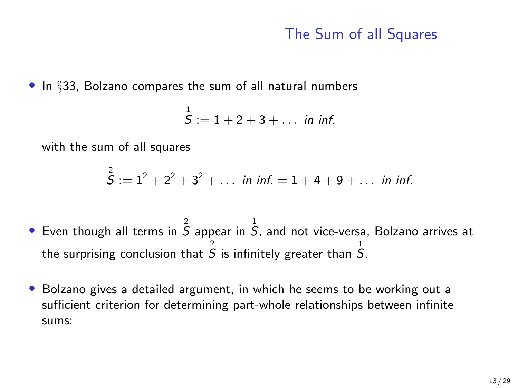# The Sum of all Squares

<span id="page-12-0"></span>• In §33, Bolzano compares the sum of all natural numbers

$$
\overset{1}{S}:=1+2+3+\ldots \text{ in inf.}
$$

with the sum of all squares

$$
\overset{2}{S} := 1^2 + 2^2 + 3^2 + \dots
$$
 in inf.  $= 1 + 4 + 9 + \dots$  in inf.

- $\bullet$  Even though all terms in  $\overline{S}$  appear in  $\overline{S}$ , and not vice-versa, Bolzano arrives at the surprising conclusion that  $\overset{2}{S}$  is infinitely greater than  $\overset{1}{S}.$
- Bolzano gives a detailed argument, in which he seems to be working out a sufficient criterion for determining part-whole relationships between infinite sums: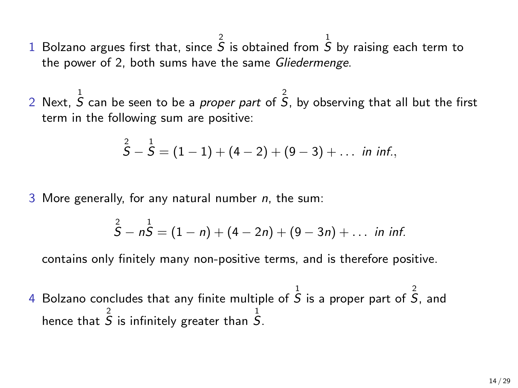- 1 Bolzano argues first that, since  $\overline{S}$  is obtained from  $\overline{S}$  by raising each term to the power of 2, both sums have the same Gliedermenge.
- 2 Next,  $\stackrel{1}{S}$  can be seen to be a *proper part* of  $\stackrel{2}{S}$ , by observing that all but the first term in the following sum are positive:

$$
\overset{2}{S}-\overset{1}{S}=(1-1)+(4-2)+(9-3)+\ldots \text{ in inf.},
$$

3 More generally, for any natural number  $n$ , the sum:

$$
\overset{2}{S}-n\overset{1}{S}=(1-n)+(4-2n)+(9-3n)+\ldots \text{ in inf.}
$$

contains only finitely many non-positive terms, and is therefore positive.

4 Bolzano concludes that any finite multiple of  $\overline{S}$  is a proper part of  $\overline{S}$ , and hence that  $\hat{\tilde{S}}$  is infinitely greater than  $\hat{S}$ .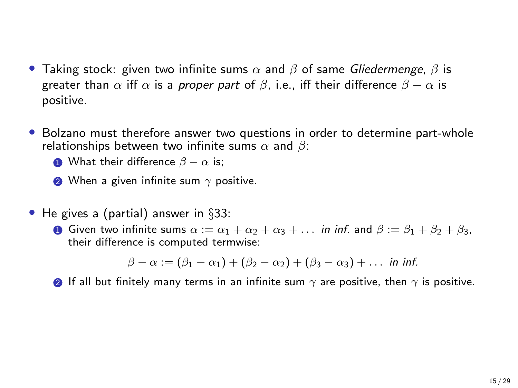- Taking stock: given two infinite sums  $\alpha$  and  $\beta$  of same *Gliedermenge*,  $\beta$  is greater than  $\alpha$  iff  $\alpha$  is a proper part of  $\beta$ , i.e., iff their difference  $\beta - \alpha$  is positive.
- Bolzano must therefore answer two questions in order to determine part-whole relationships between two infinite sums  $\alpha$  and  $\beta$ :
	- **1** What their difference  $\beta \alpha$  is;
	- $\bullet$  When a given infinite sum  $\gamma$  positive.
- He gives a (partial) answer in §33:
	- **1** Given two infinite sums  $\alpha := \alpha_1 + \alpha_2 + \alpha_3 + \dots$  in inf. and  $\beta := \beta_1 + \beta_2 + \beta_3$ , their difference is computed termwise:

$$
\beta-\alpha := (\beta_1-\alpha_1) + (\beta_2-\alpha_2) + (\beta_3-\alpha_3) + \ldots
$$
 in inf.

**2** If all but finitely many terms in an infinite sum  $\gamma$  are positive, then  $\gamma$  is positive.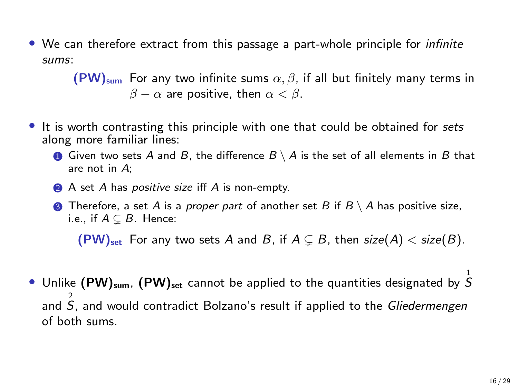• We can therefore extract from this passage a part-whole principle for *infinite* sums:

> $(PW)_{sum}$  For any two infinite sums  $\alpha, \beta$ , if all but finitely many terms in  $\beta - \alpha$  are positive, then  $\alpha < \beta$ .

- It is worth contrasting this principle with one that could be obtained for sets along more familiar lines:
	- **1** Given two sets A and B, the difference  $B \setminus A$  is the set of all elements in B that are not in A;
	- **2** A set A has *positive size* iff A is non-empty.
	- **3** Therefore, a set A is a proper part of another set B if  $B \setminus A$  has positive size, i.e., if  $A \subseteq B$ . Hence:

 $(PW)_{\text{set}}$  For any two sets A and B, if  $A \subseteq B$ , then  $size(A) < size(B)$ .

 $\bullet$  Unlike (PW) $_{\sf sum}$ , (PW) $_{\sf set}$  cannot be applied to the quantities designated by  $\stackrel{1}{S}$ and  $\hat{\vec{S}}$ , and would contradict Bolzano's result if applied to the *Gliedermengen* of both sums.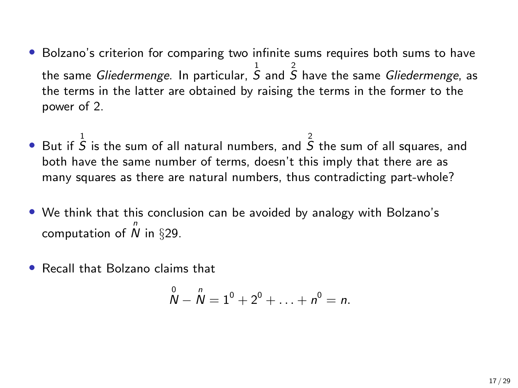- Bolzano's criterion for comparing two infinite sums requires both sums to have the same *Gliedermenge*. In particular,  $\frac{1}{S}$  and  $\frac{2}{S}$  have the same *Gliedermenge*, as the terms in the latter are obtained by raising the terms in the former to the power of 2.
- But if  $\overline{S}$  is the sum of all natural numbers, and  $\overline{S}$  the sum of all squares, and both have the same number of terms, doesn't this imply that there are as many squares as there are natural numbers, thus contradicting part-whole?
- We think that this conclusion can be avoided by analogy with Bolzano's computation of  $\stackrel{n}{N}$  in  $\S 29$ .
- Recall that Bolzano claims that

$$
\overset{0}{N}-\overset{n}{N}=1^0+2^0+\ldots+n^0=n.
$$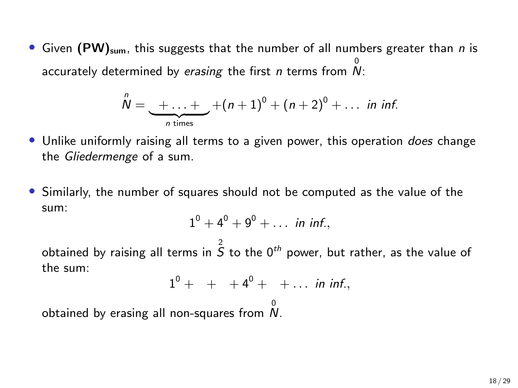• Given (PW)<sub>sum</sub>, this suggests that the number of all numbers greater than *n* is accurately determined by *erasing* the first *n* terms from  $\stackrel{0}{N}$ :

$$
\overset{n}{N}=\underbrace{+\ldots+}_{n \text{ times}}+(n+1)^0+(n+2)^0+\ldots \text{ in inf.}
$$

- Unlike uniformly raising all terms to a given power, this operation *does* change the Gliedermenge of a sum.
- Similarly, the number of squares should not be computed as the value of the sum:

$$
1^0 + 4^0 + 9^0 + \ldots
$$
 in inf.,

obtained by raising all terms in  $\overset{2}{S}$  to the 0<sup>th</sup> power, but rather, as the value of the sum:

$$
1^0 + + + 4^0 + + \ldots \text{ in inf.},
$$

obtained by erasing all non-squares from  $\stackrel{0}{N}$ .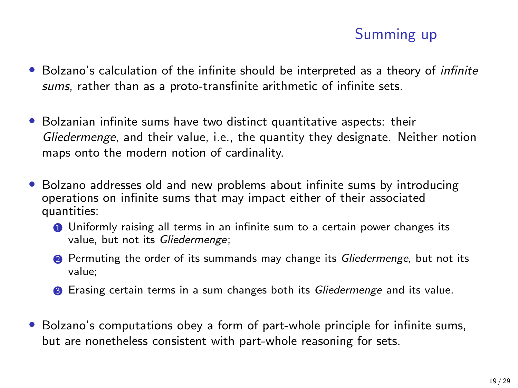# Summing up

- Bolzano's calculation of the infinite should be interpreted as a theory of *infinite* sums, rather than as a proto-transfinite arithmetic of infinite sets.
- Bolzanian infinite sums have two distinct quantitative aspects: their Gliedermenge, and their value, i.e., the quantity they designate. Neither notion maps onto the modern notion of cardinality.
- Bolzano addresses old and new problems about infinite sums by introducing operations on infinite sums that may impact either of their associated quantities:
	- **1** Uniformly raising all terms in an infinite sum to a certain power changes its value, but not its Gliedermenge;
	- 2 Permuting the order of its summands may change its *Gliedermenge*, but not its value;
	- <sup>3</sup> Erasing certain terms in a sum changes both its *Gliedermenge* and its value.
- Bolzano's computations obey a form of part-whole principle for infinite sums, but are nonetheless consistent with part-whole reasoning for sets.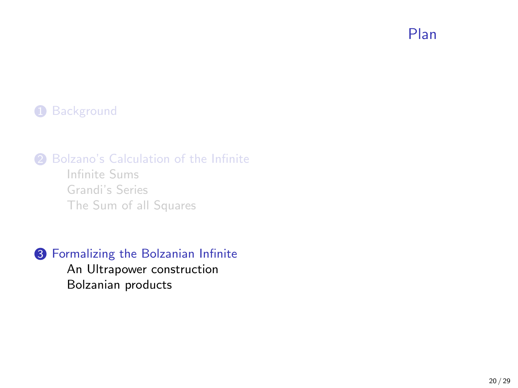Plan

#### <span id="page-19-0"></span>**1** [Background](#page-2-0)

2 [Bolzano's Calculation of the Infinite](#page-6-0)

[Infinite Sums](#page-8-0) [Grandi's Series](#page-10-0) [The Sum of all Squares](#page-12-0)

<sup>3</sup> [Formalizing the Bolzanian Infinite](#page-19-0) [An Ultrapower construction](#page-20-0)

[Bolzanian products](#page-23-0)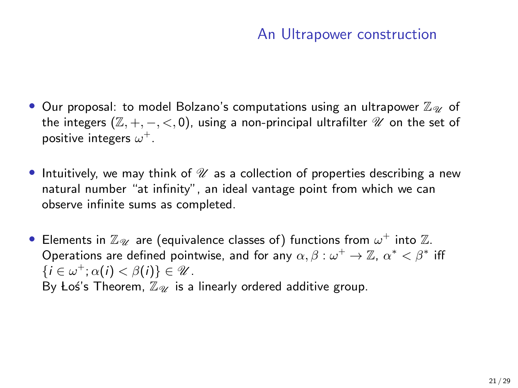# An Ultrapower construction

- <span id="page-20-0"></span>• Our proposal: to model Bolzano's computations using an ultrapower  $\mathbb{Z}_{\mathscr{U}}$  of the integers  $(\mathbb{Z}, +, -, <, 0)$ , using a non-principal ultrafilter  $\mathcal U$  on the set of positive integers  $\omega^+$ .
- Intuitively, we may think of  $\mathcal U$  as a collection of properties describing a new natural number "at infinity", an ideal vantage point from which we can observe infinite sums as completed.
- $\bullet\,$  Elements in  $\mathbb{Z}_{\mathscr{U}}\,$  are (equivalence classes of) functions from  $\omega^{+}$  into  $\mathbb{Z}_{\cdot}$ Operations are defined pointwise, and for any  $\alpha, \beta: \omega^+ \to \mathbb{Z}, \, \alpha^* < \beta^*$  iff  $\{i \in \omega^+; \alpha(i) < \beta(i)\}\in \mathcal{U}.$ By Los's Theorem,  $\mathbb{Z}_{\mathscr{U}}$  is a linearly ordered additive group.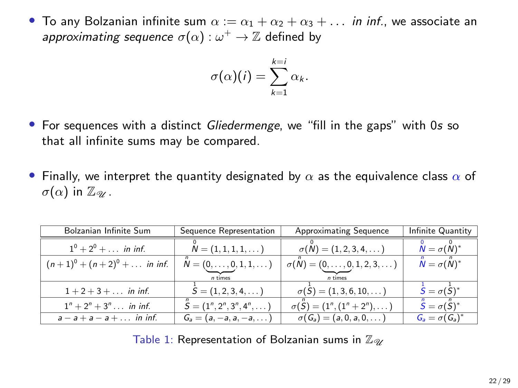• To any Bolzanian infinite sum  $\alpha := \alpha_1 + \alpha_2 + \alpha_3 + \ldots$  in inf., we associate an approximating sequence  $\sigma(\alpha):\omega^+\rightarrow \mathbb{Z}$  defined by

$$
\sigma(\alpha)(i) = \sum_{k=1}^{k=i} \alpha_k.
$$

- For sequences with a distinct *Gliedermenge*, we "fill in the gaps" with 0s so that all infinite sums may be compared.
- Finally, we interpret the quantity designated by  $\alpha$  as the equivalence class  $\alpha$  of  $\sigma(\alpha)$  in  $\mathbb{Z}_{\mathscr{U}}$ .

| Bolzanian Infinite Sum               | Sequence Representation            | <b>Approximating Sequence</b>                 | Infinite Quantity                               |
|--------------------------------------|------------------------------------|-----------------------------------------------|-------------------------------------------------|
| $1^0 + 2^0 + \ldots$ in inf.         | $N = (1, 1, 1, 1, \dots)$          | $\sigma(N) = (1, 2, 3, 4, \dots)$             | $N = \sigma(N)^*$                               |
| $(n+1)^0 + (n+2)^0 + \ldots$ in inf. | $N = (0, \ldots, 0, 1, 1, \ldots)$ | $\sigma(N) = (0, \ldots, 0, 1, 2, 3, \ldots)$ | $\ddot{\mathsf{N}}=\sigma(\ddot{\mathsf{N}})^*$ |
|                                      | n times                            | n times                                       |                                                 |
| $1 + 2 + 3 + \ldots$ in inf.         | $S = (1, 2, 3, 4, \dots)$          | $\sigma(S) = (1, 3, 6, 10, \dots)$            | $\dot{S} = \sigma(\dot{S})^*$                   |
| $1^n + 2^n + 3^n$ in inf.            | $S = (1^n, 2^n, 3^n, 4^n, \dots)$  | $\sigma(S) = (1^n, (1^n + 2^n), \dots)$       | $\ddot{S} = \sigma(\ddot{S})^*$                 |
| $a - a + a - a + \dots$ in inf.      | $G_a = (a, -a, a, -a, \dots)$      | $\sigma(G_a) = (a, 0, a, 0, \dots)$           | $G_a = \sigma(G_a)^*$                           |

Table 1: Representation of Bolzanian sums in  $\mathbb{Z}_{2\mathbb{Z}}$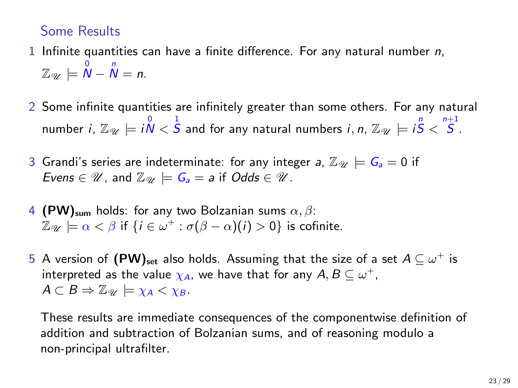#### Some Results

- 1 Infinite quantities can have a finite difference. For any natural number  $n$ ,  $\mathbb{Z}_{\mathscr{U}}\models \overset{0}{\mathsf{N}}-\overset{n}{\mathsf{N}}=n.$
- 2 Some infinite quantities are infinitely greater than some others. For any natural number  $i$ ,  $\mathbb{Z}_{\mathscr{U}}\models i\overset{0}{\mathcal{N}}<\overset{1}{S}$  and for any natural numbers  $i$ ,  $n$ ,  $\mathbb{Z}_{\mathscr{U}}\models i\overset{n}{S}<\overset{n+1}{S}.$
- 3 Grandi's series are indeterminate: for any integer a,  $\mathbb{Z}_{\mathscr{U}} \models G_a = 0$  if Evens  $\in \mathcal{U}$ , and  $\mathbb{Z}_{\mathcal{U}} \models G_a = a$  if Odds  $\in \mathcal{U}$ .
- 4 (PW)<sub>sum</sub> holds: for any two Bolzanian sums  $\alpha$ ,  $\beta$ :  $\mathbb{Z}_{\mathscr{U}}\models\alpha<\beta$  if  $\{i\in\omega^{+}:\sigma(\beta-\alpha)(i)>0\}$  is cofinite.
- 5 A version of  $(\mathsf{PW})_\mathsf{set}$  also holds. Assuming that the size of a set  $A\subseteq \omega^+$  is interpreted as the value  $\chi_\mathcal{A}$ , we have that for any  $\mathcal{A},\mathcal{B}\subseteq \omega^+,$  $A \subset B \Rightarrow \mathbb{Z}_{\mathscr{U}} \models \chi_A < \chi_B$ .

These results are immediate consequences of the componentwise definition of addition and subtraction of Bolzanian sums, and of reasoning modulo a non-principal ultrafilter.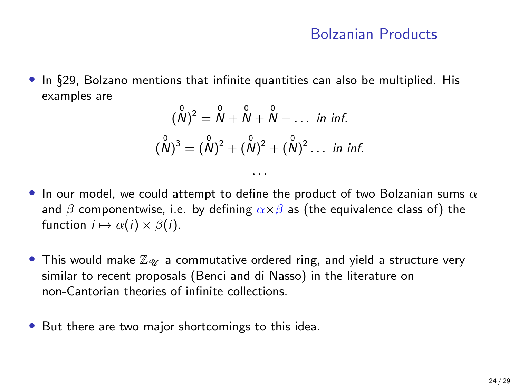#### Bolzanian Products

<span id="page-23-0"></span>• In §29, Bolzano mentions that infinite quantities can also be multiplied. His examples are

$$
(\stackrel{0}{N})^2 = \stackrel{0}{N} + \stackrel{0}{N} + \stackrel{0}{N} + \dots \text{ in inf.}
$$
  

$$
(\stackrel{0}{N})^3 = (\stackrel{0}{N})^2 + (\stackrel{0}{N})^2 + (\stackrel{0}{N})^2 \dots \text{ in inf.}
$$

. . .

- In our model, we could attempt to define the product of two Bolzanian sums  $\alpha$ and  $\beta$  componentwise, i.e. by defining  $\alpha \times \beta$  as (the equivalence class of) the function  $i \mapsto \alpha(i) \times \beta(i)$ .
- This would make  $\mathbb{Z}_{\mathscr{U}}$  a commutative ordered ring, and yield a structure very similar to recent proposals (Benci and di Nasso) in the literature on non-Cantorian theories of infinite collections.
- But there are two major shortcomings to this idea.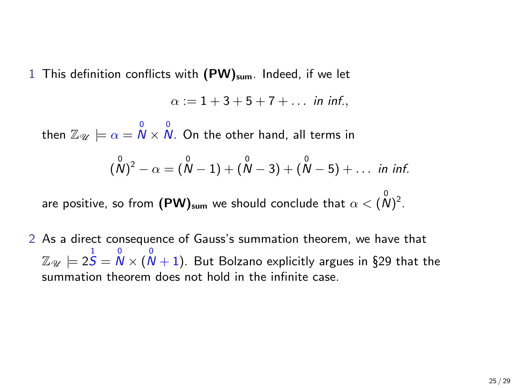1 This definition conflicts with  $(PW)_{sum}$ . Indeed, if we let

 $\alpha := 1 + 3 + 5 + 7 + \dots$  in inf.

then  $\mathbb{Z}_{\mathscr{U}} \models \alpha = \overset{0}{N} \times \overset{0}{N}$ . On the other hand, all terms in

$$
(\stackrel{0}{N})^2 - \alpha = (\stackrel{0}{N} - 1) + (\stackrel{0}{N} - 3) + (\stackrel{0}{N} - 5) + \ldots
$$
 in inf.

are positive, so from  $(\mathsf{PW})_\mathsf{sum}$  we should conclude that  $\alpha<(\stackrel{\scriptstyle\circ}{N})^2.$ 

2 As a direct consequence of Gauss's summation theorem, we have that  $\mathbb{Z}_{\mathscr{U}}\models 2\overset{1}{S}=\overset{0}{N}\times(\overset{0}{N}+1).$  But Bolzano explicitly argues in §29 that the summation theorem does not hold in the infinite case.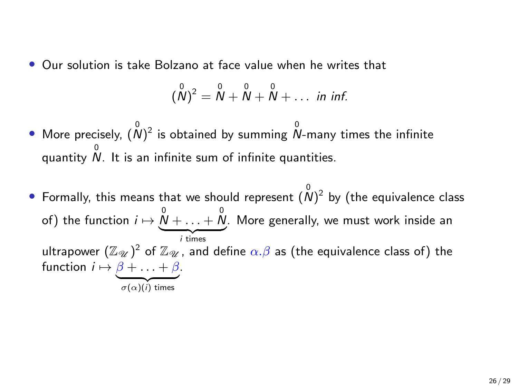• Our solution is take Bolzano at face value when he writes that

$$
(\stackrel{0}{N})^2 = \stackrel{0}{N} + \stackrel{0}{N} + \stackrel{0}{N} + \ldots
$$
 in inf.

- More precisely,  $({\stackrel{0}{N}})^2$  is obtained by summing  $\stackrel{0}{N}$ -many times the infinite quantity 0 N. It is an infinite sum of infinite quantities.
- Formally, this means that we should represent  $(\stackrel{0}{N})^2$  by (the equivalence class of) the function  $i \mapsto \overset{0}{\mathcal{N}} + \ldots + \overset{0}{\mathcal{N}}$  $$ . More generally, we must work inside an ultrapower  $(\mathbb{Z}_{\mathscr{U}})^2$  of  $\mathbb{Z}_{\mathscr{U}}$  , and define  $\alpha.\beta$  as (the equivalence class of) the function  $i \mapsto \beta + \ldots + \beta$ .  ${\sigma(\alpha)(i)}$  times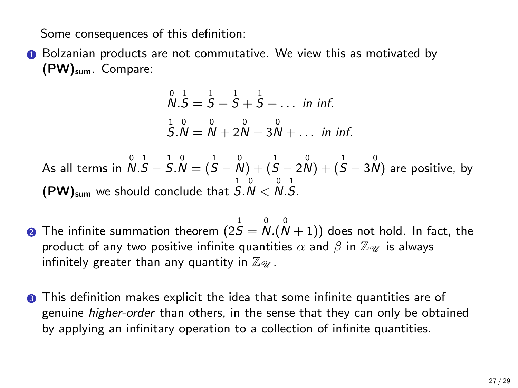Some consequences of this definition:

**1** Bolzanian products are not commutative. We view this as motivated by (PW)sum. Compare:

$$
\begin{array}{c}\n0.5 = 5 + 5 + 5 + \dots \text{ in inf.} \\
5.0 = 0 + 2 + 3 + 3 + \dots \text{ in inf.} \\
\hline\n\end{array}
$$

As all terms in  $\,{\mathcal N}.\,{\mathcal S}-\,{\mathcal S}.\,{\mathcal N}=(\,{\mathcal S}-\,{\mathcal N})+(\,{\mathcal S}-\,2\,{\mathcal N})+(\,{\mathcal S}-\,3\,{\mathcal N})\,$  are positive, by  $(PW)_{\text{sum}}$  we should conclude that  $\overset{1}{S}$ . $\overset{0}{N}$   $<$   $\overset{1}{N}$ . $\overset{0}{S}$ .

- $\bullet$  The infinite summation theorem  $(2S = N.(\overset{\scriptscriptstyle 0}{N}+1))$  does not hold. In fact, the product of any two positive infinite quantities  $\alpha$  and  $\beta$  in  $\mathbb{Z}_{\mathscr{Y}}$  is always infinitely greater than any quantity in  $\mathbb{Z}_{\mathscr{U}}$ .
- **3** This definition makes explicit the idea that some infinite quantities are of genuine higher-order than others, in the sense that they can only be obtained by applying an infinitary operation to a collection of infinite quantities.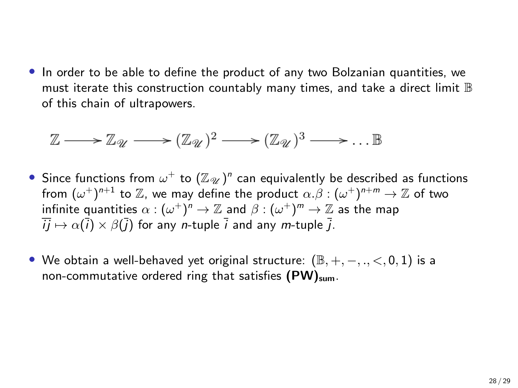• In order to be able to define the product of any two Bolzanian quantities, we must iterate this construction countably many times, and take a direct limit B of this chain of ultrapowers.

$$
\mathbb{Z} \longrightarrow \mathbb{Z}_{\mathscr{U}} \longrightarrow (\mathbb{Z}_{\mathscr{U}})^2 \longrightarrow (\mathbb{Z}_{\mathscr{U}})^3 \longrightarrow \dots \mathbb{B}
$$

- $\bullet$  Since functions from  $\omega^+$  to  $(\mathbb{Z}_\mathscr{U})^n$  can equivalently be described as functions from  $(\omega^+)^{n+1}$  to  $\mathbb Z$ , we may define the product  $\alpha.\beta:(\omega^+)^{n+m}\to \mathbb Z$  of two infinite quantities  $\alpha: (\omega^+)^n \to \mathbb{Z}$  and  $\beta: (\omega^+)^m \to \mathbb{Z}$  as the map  $i\overline{i}\rightarrow \alpha(i)\times \beta(i)$  for any *n*-tuple  $\overline{i}$  and any *m*-tuple  $\overline{i}$ .
- We obtain a well-behaved yet original structure:  $(\mathbb{B}, +, -, -, < 0, 1)$  is a non-commutative ordered ring that satisfies  $(PW)_{sum}$ .